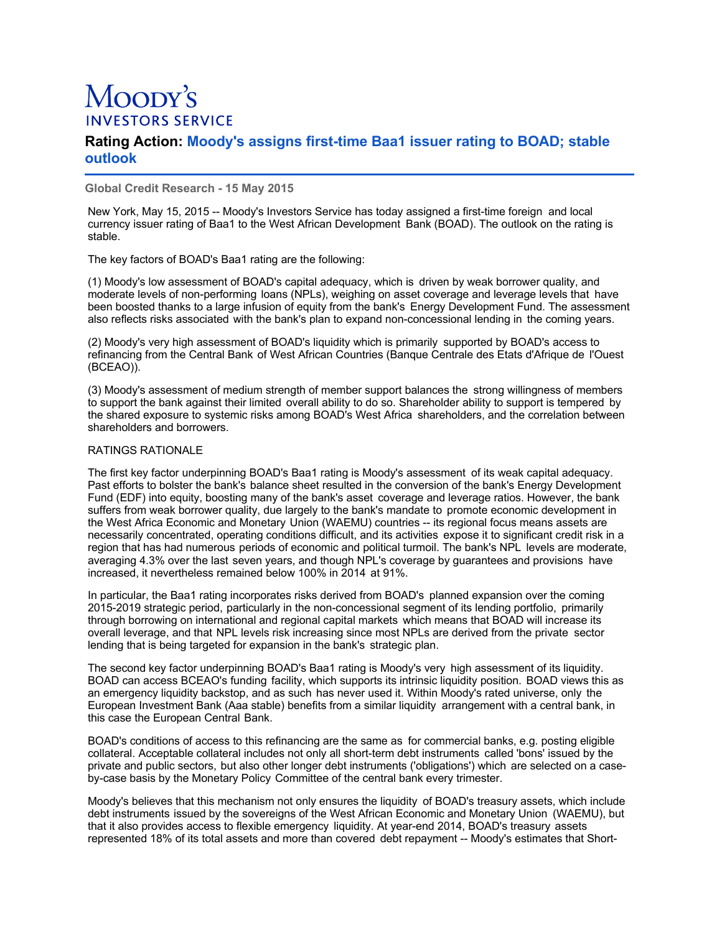# Moopy's **INVESTORS SERVICE**

## **Rating Action: Moody's assigns first-time Baa1 issuer rating to BOAD; stable outlook**

**Global Credit Research - 15 May 2015**

New York, May 15, 2015 -- Moody's Investors Service has today assigned a first-time foreign and local currency issuer rating of Baa1 to the West African Development Bank (BOAD). The outlook on the rating is stable.

The key factors of BOAD's Baa1 rating are the following:

(1) Moody's low assessment of BOAD's capital adequacy, which is driven by weak borrower quality, and moderate levels of non-performing loans (NPLs), weighing on asset coverage and leverage levels that have been boosted thanks to a large infusion of equity from the bank's Energy Development Fund. The assessment also reflects risks associated with the bank's plan to expand non-concessional lending in the coming years.

(2) Moody's very high assessment of BOAD's liquidity which is primarily supported by BOAD's access to refinancing from the Central Bank of West African Countries (Banque Centrale des Etats d'Afrique de l'Ouest (BCEAO)).

(3) Moody's assessment of medium strength of member support balances the strong willingness of members to support the bank against their limited overall ability to do so. Shareholder ability to support is tempered by the shared exposure to systemic risks among BOAD's West Africa shareholders, and the correlation between shareholders and borrowers.

### RATINGS RATIONALE

The first key factor underpinning BOAD's Baa1 rating is Moody's assessment of its weak capital adequacy. Past efforts to bolster the bank's balance sheet resulted in the conversion of the bank's Energy Development Fund (EDF) into equity, boosting many of the bank's asset coverage and leverage ratios. However, the bank suffers from weak borrower quality, due largely to the bank's mandate to promote economic development in the West Africa Economic and Monetary Union (WAEMU) countries -- its regional focus means assets are necessarily concentrated, operating conditions difficult, and its activities expose it to significant credit risk in a region that has had numerous periods of economic and political turmoil. The bank's NPL levels are moderate, averaging 4.3% over the last seven years, and though NPL's coverage by guarantees and provisions have increased, it nevertheless remained below 100% in 2014 at 91%.

In particular, the Baa1 rating incorporates risks derived from BOAD's planned expansion over the coming 2015-2019 strategic period, particularly in the non-concessional segment of its lending portfolio, primarily through borrowing on international and regional capital markets which means that BOAD will increase its overall leverage, and that NPL levels risk increasing since most NPLs are derived from the private sector lending that is being targeted for expansion in the bank's strategic plan.

The second key factor underpinning BOAD's Baa1 rating is Moody's very high assessment of its liquidity. BOAD can access BCEAO's funding facility, which supports its intrinsic liquidity position. BOAD views this as an emergency liquidity backstop, and as such has never used it. Within Moody's rated universe, only the European Investment Bank (Aaa stable) benefits from a similar liquidity arrangement with a central bank, in this case the European Central Bank.

BOAD's conditions of access to this refinancing are the same as for commercial banks, e.g. posting eligible collateral. Acceptable collateral includes not only all short-term debt instruments called 'bons' issued by the private and public sectors, but also other longer debt instruments ('obligations') which are selected on a caseby-case basis by the Monetary Policy Committee of the central bank every trimester.

Moody's believes that this mechanism not only ensures the liquidity of BOAD's treasury assets, which include debt instruments issued by the sovereigns of the West African Economic and Monetary Union (WAEMU), but that it also provides access to flexible emergency liquidity. At year-end 2014, BOAD's treasury assets represented 18% of its total assets and more than covered debt repayment -- Moody's estimates that Short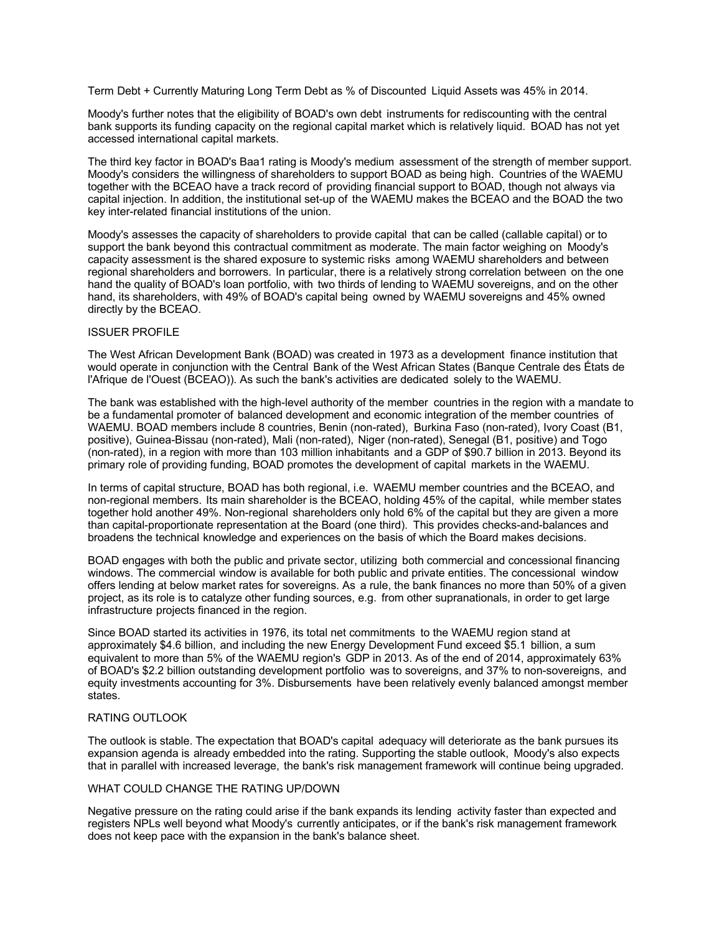Term Debt + Currently Maturing Long Term Debt as % of Discounted Liquid Assets was 45% in 2014.

Moody's further notes that the eligibility of BOAD's own debt instruments for rediscounting with the central bank supports its funding capacity on the regional capital market which is relatively liquid. BOAD has not yet accessed international capital markets.

The third key factor in BOAD's Baa1 rating is Moody's medium assessment of the strength of member support. Moody's considers the willingness of shareholders to support BOAD as being high. Countries of the WAEMU together with the BCEAO have a track record of providing financial support to BOAD, though not always via capital injection. In addition, the institutional set-up of the WAEMU makes the BCEAO and the BOAD the two key inter-related financial institutions of the union.

Moody's assesses the capacity of shareholders to provide capital that can be called (callable capital) or to support the bank beyond this contractual commitment as moderate. The main factor weighing on Moody's capacity assessment is the shared exposure to systemic risks among WAEMU shareholders and between regional shareholders and borrowers. In particular, there is a relatively strong correlation between on the one hand the quality of BOAD's loan portfolio, with two thirds of lending to WAEMU sovereigns, and on the other hand, its shareholders, with 49% of BOAD's capital being owned by WAEMU sovereigns and 45% owned directly by the BCEAO.

#### ISSUER PROFILE

The West African Development Bank (BOAD) was created in 1973 as a development finance institution that would operate in conjunction with the Central Bank of the West African States (Banque Centrale des États de l'Afrique de l'Ouest (BCEAO)). As such the bank's activities are dedicated solely to the WAEMU.

The bank was established with the high-level authority of the member countries in the region with a mandate to be a fundamental promoter of balanced development and economic integration of the member countries of WAEMU. BOAD members include 8 countries, Benin (non-rated), Burkina Faso (non-rated), Ivory Coast (B1, positive), Guinea-Bissau (non-rated), Mali (non-rated), Niger (non-rated), Senegal (B1, positive) and Togo (non-rated), in a region with more than 103 million inhabitants and a GDP of \$90.7 billion in 2013. Beyond its primary role of providing funding, BOAD promotes the development of capital markets in the WAEMU.

In terms of capital structure, BOAD has both regional, i.e. WAEMU member countries and the BCEAO, and non-regional members. Its main shareholder is the BCEAO, holding 45% of the capital, while member states together hold another 49%. Non-regional shareholders only hold 6% of the capital but they are given a more than capital-proportionate representation at the Board (one third). This provides checks-and-balances and broadens the technical knowledge and experiences on the basis of which the Board makes decisions.

BOAD engages with both the public and private sector, utilizing both commercial and concessional financing windows. The commercial window is available for both public and private entities. The concessional window offers lending at below market rates for sovereigns. As a rule, the bank finances no more than 50% of a given project, as its role is to catalyze other funding sources, e.g. from other supranationals, in order to get large infrastructure projects financed in the region.

Since BOAD started its activities in 1976, its total net commitments to the WAEMU region stand at approximately \$4.6 billion, and including the new Energy Development Fund exceed \$5.1 billion, a sum equivalent to more than 5% of the WAEMU region's GDP in 2013. As of the end of 2014, approximately 63% of BOAD's \$2.2 billion outstanding development portfolio was to sovereigns, and 37% to non-sovereigns, and equity investments accounting for 3%. Disbursements have been relatively evenly balanced amongst member states.

### RATING OUTLOOK

The outlook is stable. The expectation that BOAD's capital adequacy will deteriorate as the bank pursues its expansion agenda is already embedded into the rating. Supporting the stable outlook, Moody's also expects that in parallel with increased leverage, the bank's risk management framework will continue being upgraded.

#### WHAT COULD CHANGE THE RATING UP/DOWN

Negative pressure on the rating could arise if the bank expands its lending activity faster than expected and registers NPLs well beyond what Moody's currently anticipates, or if the bank's risk management framework does not keep pace with the expansion in the bank's balance sheet.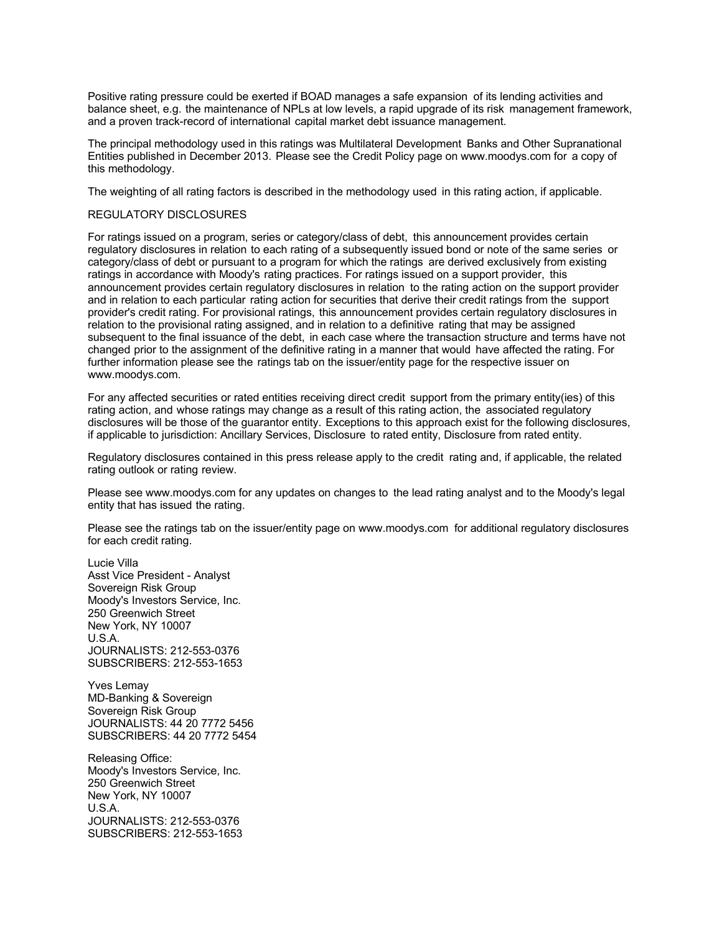Positive rating pressure could be exerted if BOAD manages a safe expansion of its lending activities and balance sheet, e.g. the maintenance of NPLs at low levels, a rapid upgrade of its risk management framework, and a proven track-record of international capital market debt issuance management.

The principal methodology used in this ratings was Multilateral Development Banks and Other Supranational Entities published in December 2013. Please see the Credit Policy page on www.moodys.com for a copy of this methodology.

The weighting of all rating factors is described in the methodology used in this rating action, if applicable.

### REGULATORY DISCLOSURES

For ratings issued on a program, series or category/class of debt, this announcement provides certain regulatory disclosures in relation to each rating of a subsequently issued bond or note of the same series or category/class of debt or pursuant to a program for which the ratings are derived exclusively from existing ratings in accordance with Moody's rating practices. For ratings issued on a support provider, this announcement provides certain regulatory disclosures in relation to the rating action on the support provider and in relation to each particular rating action for securities that derive their credit ratings from the support provider's credit rating. For provisional ratings, this announcement provides certain regulatory disclosures in relation to the provisional rating assigned, and in relation to a definitive rating that may be assigned subsequent to the final issuance of the debt, in each case where the transaction structure and terms have not changed prior to the assignment of the definitive rating in a manner that would have affected the rating. For further information please see the ratings tab on the issuer/entity page for the respective issuer on www.moodys.com.

For any affected securities or rated entities receiving direct credit support from the primary entity(ies) of this rating action, and whose ratings may change as a result of this rating action, the associated regulatory disclosures will be those of the guarantor entity. Exceptions to this approach exist for the following disclosures, if applicable to jurisdiction: Ancillary Services, Disclosure to rated entity, Disclosure from rated entity.

Regulatory disclosures contained in this press release apply to the credit rating and, if applicable, the related rating outlook or rating review.

Please see www.moodys.com for any updates on changes to the lead rating analyst and to the Moody's legal entity that has issued the rating.

Please see the ratings tab on the issuer/entity page on www.moodys.com for additional regulatory disclosures for each credit rating.

Lucie Villa Asst Vice President - Analyst Sovereign Risk Group Moody's Investors Service, Inc. 250 Greenwich Street New York, NY 10007 U.S.A. JOURNALISTS: 212-553-0376 SUBSCRIBERS: 212-553-1653

Yves Lemay MD-Banking & Sovereign Sovereign Risk Group JOURNALISTS: 44 20 7772 5456 SUBSCRIBERS: 44 20 7772 5454

Releasing Office: Moody's Investors Service, Inc. 250 Greenwich Street New York, NY 10007 U.S.A. JOURNALISTS: 212-553-0376 SUBSCRIBERS: 212-553-1653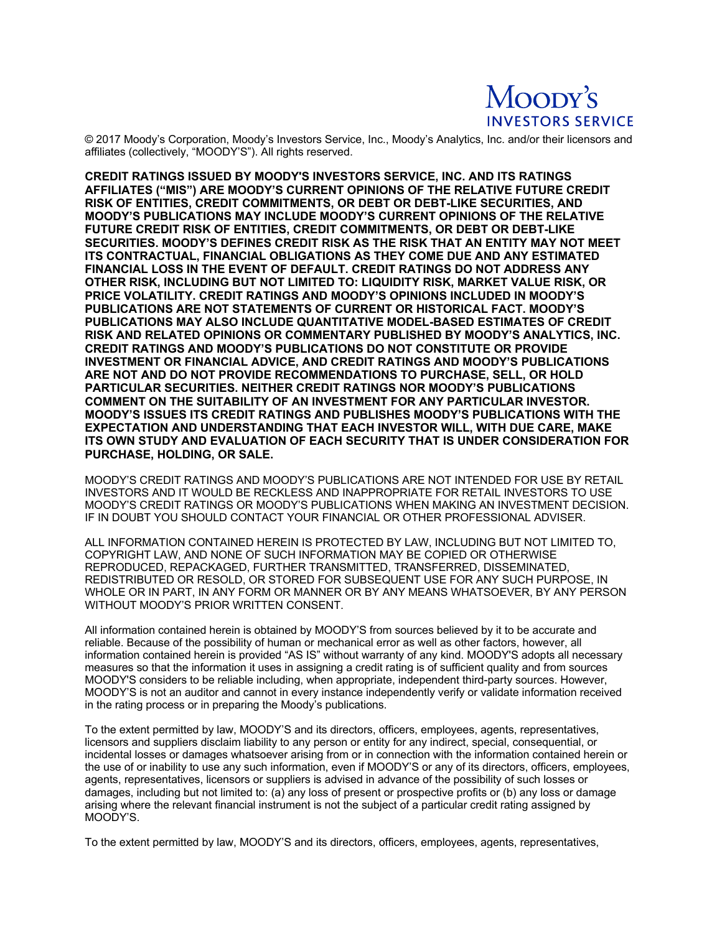# Moopy's **INVESTORS SERVICE**

© 2017 Moody's Corporation, Moody's Investors Service, Inc., Moody's Analytics, Inc. and/or their licensors and affiliates (collectively, "MOODY'S"). All rights reserved.

**CREDIT RATINGS ISSUED BY MOODY'S INVESTORS SERVICE, INC. AND ITS RATINGS AFFILIATES ("MIS") ARE MOODY'S CURRENT OPINIONS OF THE RELATIVE FUTURE CREDIT RISK OF ENTITIES, CREDIT COMMITMENTS, OR DEBT OR DEBT-LIKE SECURITIES, AND MOODY'S PUBLICATIONS MAY INCLUDE MOODY'S CURRENT OPINIONS OF THE RELATIVE FUTURE CREDIT RISK OF ENTITIES, CREDIT COMMITMENTS, OR DEBT OR DEBT-LIKE SECURITIES. MOODY'S DEFINES CREDIT RISK AS THE RISK THAT AN ENTITY MAY NOT MEET ITS CONTRACTUAL, FINANCIAL OBLIGATIONS AS THEY COME DUE AND ANY ESTIMATED FINANCIAL LOSS IN THE EVENT OF DEFAULT. CREDIT RATINGS DO NOT ADDRESS ANY OTHER RISK, INCLUDING BUT NOT LIMITED TO: LIQUIDITY RISK, MARKET VALUE RISK, OR PRICE VOLATILITY. CREDIT RATINGS AND MOODY'S OPINIONS INCLUDED IN MOODY'S PUBLICATIONS ARE NOT STATEMENTS OF CURRENT OR HISTORICAL FACT. MOODY'S PUBLICATIONS MAY ALSO INCLUDE QUANTITATIVE MODEL-BASED ESTIMATES OF CREDIT RISK AND RELATED OPINIONS OR COMMENTARY PUBLISHED BY MOODY'S ANALYTICS, INC. CREDIT RATINGS AND MOODY'S PUBLICATIONS DO NOT CONSTITUTE OR PROVIDE INVESTMENT OR FINANCIAL ADVICE, AND CREDIT RATINGS AND MOODY'S PUBLICATIONS ARE NOT AND DO NOT PROVIDE RECOMMENDATIONS TO PURCHASE, SELL, OR HOLD PARTICULAR SECURITIES. NEITHER CREDIT RATINGS NOR MOODY'S PUBLICATIONS COMMENT ON THE SUITABILITY OF AN INVESTMENT FOR ANY PARTICULAR INVESTOR. MOODY'S ISSUES ITS CREDIT RATINGS AND PUBLISHES MOODY'S PUBLICATIONS WITH THE EXPECTATION AND UNDERSTANDING THAT EACH INVESTOR WILL, WITH DUE CARE, MAKE ITS OWN STUDY AND EVALUATION OF EACH SECURITY THAT IS UNDER CONSIDERATION FOR PURCHASE, HOLDING, OR SALE.**

MOODY'S CREDIT RATINGS AND MOODY'S PUBLICATIONS ARE NOT INTENDED FOR USE BY RETAIL INVESTORS AND IT WOULD BE RECKLESS AND INAPPROPRIATE FOR RETAIL INVESTORS TO USE MOODY'S CREDIT RATINGS OR MOODY'S PUBLICATIONS WHEN MAKING AN INVESTMENT DECISION. IF IN DOUBT YOU SHOULD CONTACT YOUR FINANCIAL OR OTHER PROFESSIONAL ADVISER.

ALL INFORMATION CONTAINED HEREIN IS PROTECTED BY LAW, INCLUDING BUT NOT LIMITED TO, COPYRIGHT LAW, AND NONE OF SUCH INFORMATION MAY BE COPIED OR OTHERWISE REPRODUCED, REPACKAGED, FURTHER TRANSMITTED, TRANSFERRED, DISSEMINATED, REDISTRIBUTED OR RESOLD, OR STORED FOR SUBSEQUENT USE FOR ANY SUCH PURPOSE, IN WHOLE OR IN PART, IN ANY FORM OR MANNER OR BY ANY MEANS WHATSOEVER, BY ANY PERSON WITHOUT MOODY'S PRIOR WRITTEN CONSENT.

All information contained herein is obtained by MOODY'S from sources believed by it to be accurate and reliable. Because of the possibility of human or mechanical error as well as other factors, however, all information contained herein is provided "AS IS" without warranty of any kind. MOODY'S adopts all necessary measures so that the information it uses in assigning a credit rating is of sufficient quality and from sources MOODY'S considers to be reliable including, when appropriate, independent third-party sources. However, MOODY'S is not an auditor and cannot in every instance independently verify or validate information received in the rating process or in preparing the Moody's publications.

To the extent permitted by law, MOODY'S and its directors, officers, employees, agents, representatives, licensors and suppliers disclaim liability to any person or entity for any indirect, special, consequential, or incidental losses or damages whatsoever arising from or in connection with the information contained herein or the use of or inability to use any such information, even if MOODY'S or any of its directors, officers, employees, agents, representatives, licensors or suppliers is advised in advance of the possibility of such losses or damages, including but not limited to: (a) any loss of present or prospective profits or (b) any loss or damage arising where the relevant financial instrument is not the subject of a particular credit rating assigned by MOODY'S.

To the extent permitted by law, MOODY'S and its directors, officers, employees, agents, representatives,